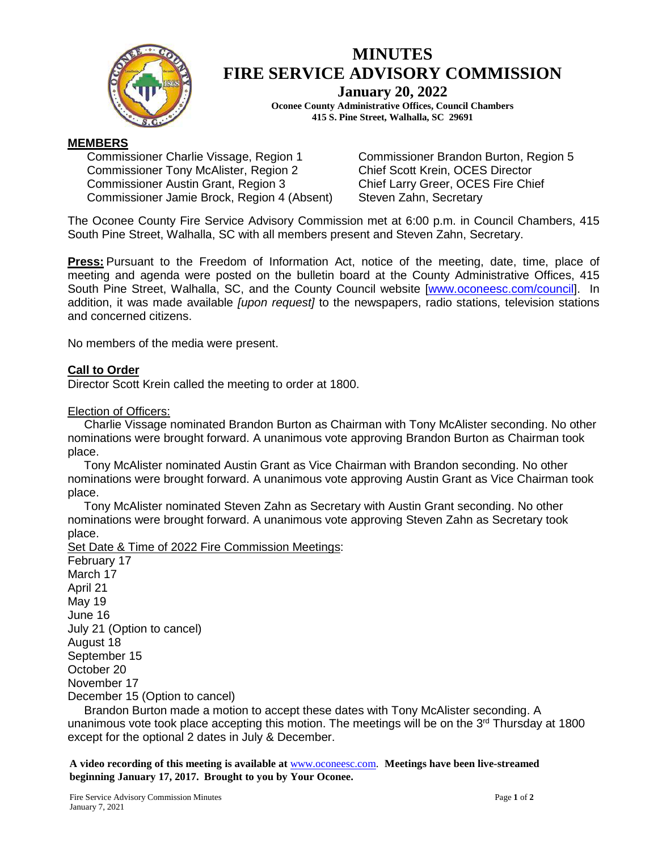

# **MINUTES FIRE SERVICE ADVISORY COMMISSION**

**January 20, 2022**

**Oconee County Administrative Offices, Council Chambers 415 S. Pine Street, Walhalla, SC 29691**

# **MEMBERS**

Commissioner Charlie Vissage, Region 1 Commissioner Tony McAlister, Region 2 Commissioner Austin Grant, Region 3 Commissioner Jamie Brock, Region 4 (Absent) Commissioner Brandon Burton, Region 5 Chief Scott Krein, OCES Director Chief Larry Greer, OCES Fire Chief Steven Zahn, Secretary

The Oconee County Fire Service Advisory Commission met at 6:00 p.m. in Council Chambers, 415 South Pine Street, Walhalla, SC with all members present and Steven Zahn, Secretary.

**Press:** Pursuant to the Freedom of Information Act, notice of the meeting, date, time, place of meeting and agenda were posted on the bulletin board at the County Administrative Offices, 415 South Pine Street, Walhalla, SC, and the County Council website [\[www.oconeesc.com/council\]](http://www.oconeesc.com/council). In addition, it was made available *[upon request]* to the newspapers, radio stations, television stations and concerned citizens.

No members of the media were present.

# **Call to Order**

Director Scott Krein called the meeting to order at 1800.

Election of Officers:

 Charlie Vissage nominated Brandon Burton as Chairman with Tony McAlister seconding. No other nominations were brought forward. A unanimous vote approving Brandon Burton as Chairman took place.

 Tony McAlister nominated Austin Grant as Vice Chairman with Brandon seconding. No other nominations were brought forward. A unanimous vote approving Austin Grant as Vice Chairman took place.

 Tony McAlister nominated Steven Zahn as Secretary with Austin Grant seconding. No other nominations were brought forward. A unanimous vote approving Steven Zahn as Secretary took place.

Set Date & Time of 2022 Fire Commission Meetings: February 17 March 17 April 21 May 19 June 16 July 21 (Option to cancel) August 18 September 15 October 20 November 17 December 15 (Option to cancel)

 Brandon Burton made a motion to accept these dates with Tony McAlister seconding. A unanimous vote took place accepting this motion. The meetings will be on the  $3<sup>rd</sup>$  Thursday at 1800 except for the optional 2 dates in July & December.

**A video recording of this meeting is available at** [www.oconeesc.com.](http://www.oconeesc.com/) **Meetings have been live-streamed beginning January 17, 2017. Brought to you by Your Oconee.**